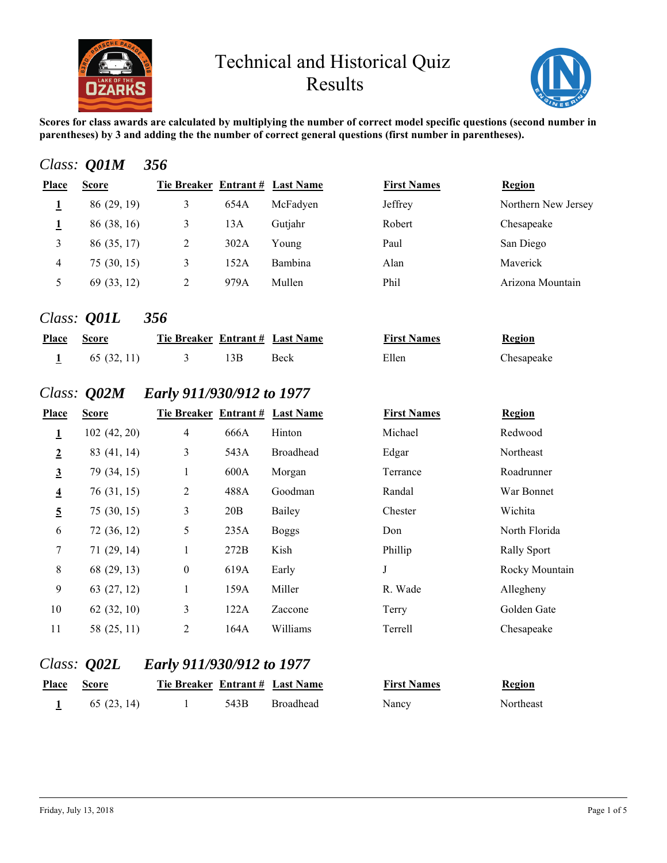



**Scores for class awards are calculated by multiplying the number of correct model specific questions (second number in parentheses) by 3 and adding the the number of correct general questions (first number in parentheses).**

#### *Class: Q01M 356*

| Place | <b>Score</b> | Tie Breaker Entrant # Last Name |      |          | <b>First Names</b> | Region              |
|-------|--------------|---------------------------------|------|----------|--------------------|---------------------|
|       | 86 (29, 19)  | 3                               | 654A | McFadyen | Jeffrey            | Northern New Jersey |
|       | 86 (38, 16)  |                                 | 13A  | Gutjahr  | Robert             | Chesapeake          |
|       | 86 (35, 17)  | 2                               | 302A | Young    | Paul               | San Diego           |
| 4     | 75(30, 15)   | 3                               | 152A | Bambina  | Alan               | Maverick            |
|       | 69 (33, 12)  |                                 | 979A | Mullen   | Phil               | Arizona Mountain    |
|       |              |                                 |      |          |                    |                     |

#### *Class: Q01L 356*

| <b>Place Score</b> |             | Tie Breaker Entrant # Last Name |     |      | <b>First Names</b> | <b>Region</b> |
|--------------------|-------------|---------------------------------|-----|------|--------------------|---------------|
|                    | 65 (32, 11) |                                 | 13B | Beck | Ellen              | Chesapeake    |

## *Class: Q02M Early 911/930/912 to 1977*

| <b>Place</b>            | <b>Score</b> | Tie Breaker Entrant # Last Name |      |              | <b>First Names</b> | Region             |
|-------------------------|--------------|---------------------------------|------|--------------|--------------------|--------------------|
| $\mathbf 1$             | 102(42, 20)  | $\overline{4}$                  | 666A | Hinton       | Michael            | Redwood            |
| $\overline{2}$          | 83 (41, 14)  | 3                               | 543A | Broadhead    | Edgar              | Northeast          |
| $\overline{3}$          | 79 (34, 15)  | 1                               | 600A | Morgan       | Terrance           | Roadrunner         |
| $\overline{\mathbf{4}}$ | 76 (31, 15)  | $\mathfrak{2}$                  | 488A | Goodman      | Randal             | War Bonnet         |
| $\overline{5}$          | 75(30, 15)   | 3                               | 20B  | Bailey       | Chester            | Wichita            |
| 6                       | 72 (36, 12)  | 5                               | 235A | <b>Boggs</b> | Don                | North Florida      |
| 7                       | 71(29, 14)   | 1                               | 272B | Kish         | Phillip            | <b>Rally Sport</b> |
| $\,8\,$                 | 68 (29, 13)  | $\boldsymbol{0}$                | 619A | Early        | J                  | Rocky Mountain     |
| $\overline{9}$          | 63 (27, 12)  | $\mathbf{1}$                    | 159A | Miller       | R. Wade            | Allegheny          |
| 10                      | 62(32, 10)   | 3                               | 122A | Zaccone      | Terry              | Golden Gate        |
| 11                      | 58 (25, 11)  | 2                               | 164A | Williams     | Terrell            | Chesapeake         |

| <u>First Names</u> | <b>Region</b> |
|--------------------|---------------|
| Michael            | Redwoo        |
| Edgar              | Northeas      |
| Terrance           | Roadrun       |
| Randal             | War Bor       |
| Chester            | Wichita       |
| Don                | North Fl      |
| Phillip            | Rally Sp      |
|                    | Rocky N       |
| R. Wade            | Allegher      |
| Terry              | Golden (      |
| Terrell            | Chesape       |
|                    |               |

## *Class: Q02L Early 911/930/912 to 1977*

| <b>Place</b> | <b>Score</b> | Tie Breaker Entrant # Last Name |      |           | <b>First Names</b> | <b>Region</b>    |
|--------------|--------------|---------------------------------|------|-----------|--------------------|------------------|
|              | 65 (23, 14)  |                                 | 543B | Broadhead | Nancy              | <b>Northeast</b> |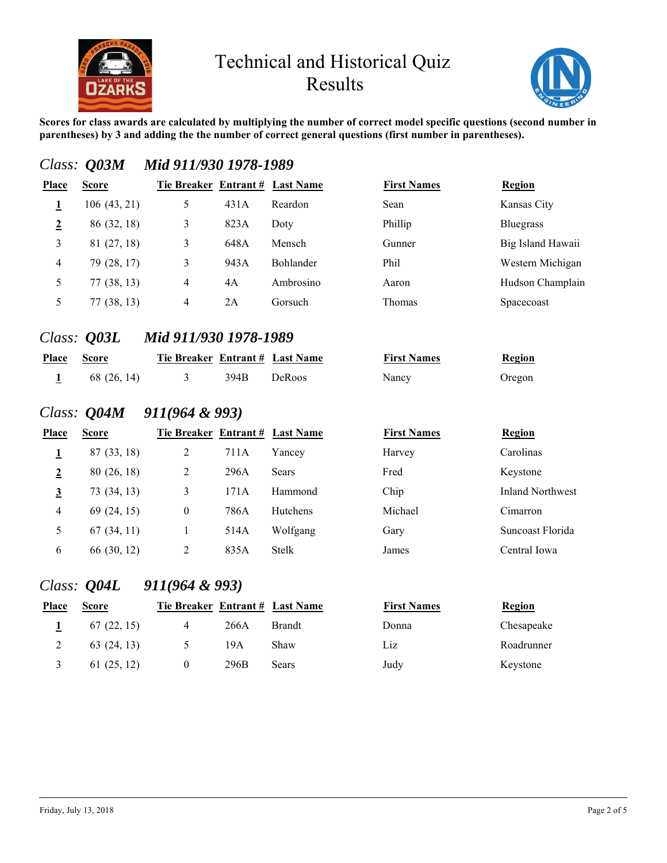



**Scores for class awards are calculated by multiplying the number of correct model specific questions (second number in parentheses) by 3 and adding the the number of correct general questions (first number in parentheses).**

| Place          | <b>Score</b>       |                                 |      |               | <b>First Names</b> | <b>Region</b>           |
|----------------|--------------------|---------------------------------|------|---------------|--------------------|-------------------------|
|                |                    | Tie Breaker Entrant # Last Name |      |               |                    |                         |
| $\mathbf{1}$   | 106(43, 21)        | 5                               | 431A | Reardon       | Sean               | Kansas City             |
| $\overline{2}$ | 86 (32, 18)        | $\mathfrak{Z}$                  | 823A | Doty          | Phillip            | <b>Bluegrass</b>        |
| 3              | 81 (27, 18)        | 3                               | 648A | Mensch        | Gunner             | Big Island Hawaii       |
| $\overline{4}$ | 79 (28, 17)        | 3                               | 943A | Bohlander     | Phil               | Western Michigan        |
| 5              | 77(38, 13)         | $\overline{4}$                  | 4A   | Ambrosino     | Aaron              | Hudson Champlain        |
| 5              | 77(38, 13)         | $\overline{4}$                  | 2A   | Gorsuch       | Thomas             | Spacecoast              |
|                | Class: <b>Q03L</b> | Mid 911/930 1978-1989           |      |               |                    |                         |
| Place          | <b>Score</b>       | Tie Breaker Entrant # Last Name |      |               | <b>First Names</b> | <b>Region</b>           |
| $\mathbf{1}$   | 68 (26, 14)        | 3                               | 394B | DeRoos        | Nancy              | Oregon                  |
|                |                    | Class: $Q04M$ 911(964 & 993)    |      |               |                    |                         |
| Place          | <b>Score</b>       | Tie Breaker Entrant # Last Name |      |               | <b>First Names</b> | Region                  |
| $\mathbf{1}$   | 87 (33, 18)        | $\sqrt{2}$                      | 711A | Yancey        | Harvey             | Carolinas               |
| $\overline{2}$ | 80 (26, 18)        | $\overline{2}$                  | 296A | Sears         | Fred               | Keystone                |
| $\overline{3}$ | 73 (34, 13)        | $\mathfrak{Z}$                  | 171A | Hammond       | Chip               | <b>Inland Northwest</b> |
| 4              | 69 (24, 15)        | $\boldsymbol{0}$                | 786A | Hutchens      | Michael            | Cimarron                |
| 5              | 67(34, 11)         | $\mathbf{1}$                    | 514A | Wolfgang      | Gary               | Suncoast Florida        |
| 6              | 66 (30, 12)        | $\overline{2}$                  | 835A | Stelk         | James              | Central Iowa            |
|                |                    | Class: $Q04L$ 911(964 & 993)    |      |               |                    |                         |
| Place          | <b>Score</b>       | Tie Breaker Entrant # Last Name |      |               | <b>First Names</b> | <b>Region</b>           |
| 1              | 67(22, 15)         | $\overline{4}$                  | 266A | <b>Brandt</b> | Donna              | Chesapeake              |
| $\overline{2}$ | 63(24, 13)         | 5                               | 19A  | Shaw          | Liz                | Roadrunner              |
|                |                    | 61(25, 12)                      | 296B | Sears         | Judy               | Keystone                |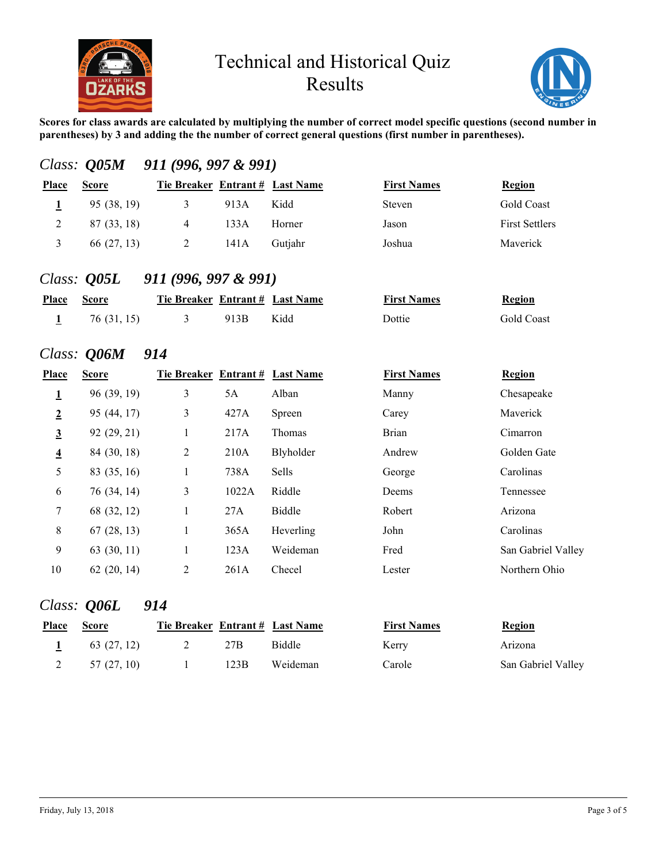



**Scores for class awards are calculated by multiplying the number of correct model specific questions (second number in parentheses) by 3 and adding the the number of correct general questions (first number in parentheses).**

|                          | Class: $Q05M$                               | 911 (996, 997 & 991)                                         |      |         |                              |                       |
|--------------------------|---------------------------------------------|--------------------------------------------------------------|------|---------|------------------------------|-----------------------|
| <b>Place</b>             | <b>Score</b>                                | Tie Breaker Entrant # Last Name                              |      |         | <b>First Names</b>           | Region                |
| 1                        | 95 (38, 19)                                 | 3                                                            | 913A | Kidd    | Steven                       | <b>Gold Coast</b>     |
| 2                        | 87 (33, 18)                                 | $\overline{4}$                                               | 133A | Horner  | Jason                        | <b>First Settlers</b> |
| 3                        | 66 (27, 13)                                 | 2                                                            | 141A | Gutjahr | Joshua                       | Maverick              |
| <b>Place</b><br><u>1</u> | Class: $Q05L$<br><b>Score</b><br>76(31, 15) | 911 (996, 997 & 991)<br>Tie Breaker Entrant # Last Name<br>3 | 913B | Kidd    | <b>First Names</b><br>Dottie | Region<br>Gold Coast  |
|                          |                                             |                                                              |      |         |                              |                       |

#### *Class: Q06M 914*

| Place                   | <b>Score</b> | Tie Breaker Entrant # Last Name |       |              | <b>First Names</b> | <b>Region</b>      |
|-------------------------|--------------|---------------------------------|-------|--------------|--------------------|--------------------|
| $\overline{\mathbf{1}}$ | 96 (39, 19)  | 3                               | 5A    | Alban        | Manny              | Chesapeake         |
| $\overline{2}$          | 95 (44, 17)  | 3                               | 427A  | Spreen       | Carey              | Maverick           |
| $\overline{3}$          | 92 (29, 21)  | 1                               | 217A  | Thomas       | <b>Brian</b>       | Cimarron           |
| $\overline{4}$          | 84 (30, 18)  | $\overline{2}$                  | 210A  | Blyholder    | Andrew             | Golden Gate        |
| 5                       | 83 (35, 16)  | $\mathbf{1}$                    | 738A  | <b>Sells</b> | George             | Carolinas          |
| 6                       | 76 (34, 14)  | 3                               | 1022A | Riddle       | Deems              | Tennessee          |
| $\tau$                  | 68 (32, 12)  | 1                               | 27A   | Biddle       | Robert             | Arizona            |
| $\,8\,$                 | 67(28, 13)   | 1                               | 365A  | Heverling    | John               | Carolinas          |
| 9                       | 63(30, 11)   | 1                               | 123A  | Weideman     | Fred               | San Gabriel Valley |
| 10                      | 62(20, 14)   | 2                               | 261A  | Checel       | Lester             | Northern Ohio      |

#### *Class: Q06L 914*

| <b>Place</b> | <b>Score</b> | Tie Breaker Entrant # Last Name |      |               | <b>First Names</b> | <b>Region</b>      |
|--------------|--------------|---------------------------------|------|---------------|--------------------|--------------------|
|              | 63 (27, 12)  |                                 | 27B  | <b>Biddle</b> | Kerry              | Arizona            |
|              | 57 (27, 10)  |                                 | 123B | Weideman      | Carole             | San Gabriel Valley |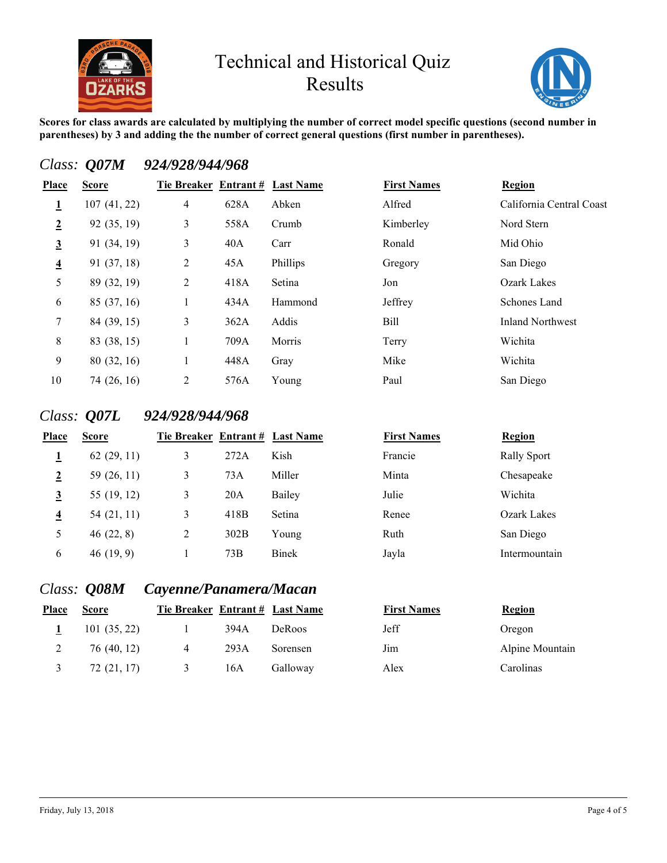



**Scores for class awards are calculated by multiplying the number of correct model specific questions (second number in parentheses) by 3 and adding the the number of correct general questions (first number in parentheses).**

## *Class: Q07M 924/928/944/968*

| Place          | <b>Score</b> | Tie Breaker Entrant # Last Name |      |          | <b>First Names</b> | <b>Region</b>            |
|----------------|--------------|---------------------------------|------|----------|--------------------|--------------------------|
| 1              | 107(41, 22)  | 4                               | 628A | Abken    | Alfred             | California Central Coast |
| $\overline{2}$ | 92 (35, 19)  | 3                               | 558A | Crumb    | Kimberley          | Nord Stern               |
| $\overline{3}$ | 91 (34, 19)  | 3                               | 40A  | Carr     | Ronald             | Mid Ohio                 |
| $\overline{4}$ | 91 (37, 18)  | 2                               | 45A  | Phillips | Gregory            | San Diego                |
| 5              | 89 (32, 19)  | 2                               | 418A | Setina   | Jon                | <b>Ozark Lakes</b>       |
| 6              | 85 (37, 16)  |                                 | 434A | Hammond  | Jeffrey            | Schones Land             |
| $\tau$         | 84 (39, 15)  | 3                               | 362A | Addis    | Bill               | <b>Inland Northwest</b>  |
| 8              | 83 (38, 15)  |                                 | 709A | Morris   | Terry              | Wichita                  |
| 9              | 80 (32, 16)  | 1                               | 448A | Gray     | Mike               | Wichita                  |
| 10             | 74 (26, 16)  | 2                               | 576A | Young    | Paul               | San Diego                |

## *Class: Q07L 924/928/944/968*

| <b>Place</b>            | <b>Score</b> | Tie Breaker Entrant # Last Name |      |        | <b>First Names</b> | <b>Region</b>      |
|-------------------------|--------------|---------------------------------|------|--------|--------------------|--------------------|
|                         | 62(29, 11)   | 3                               | 272A | Kish   | Francie            | <b>Rally Sport</b> |
| $\overline{2}$          | 59 (26, 11)  | 3                               | 73A  | Miller | Minta              | Chesapeake         |
| $\overline{3}$          | 55 (19, 12)  | 3                               | 20A  | Bailey | Julie              | Wichita            |
| $\overline{\mathbf{4}}$ | 54 (21, 11)  | 3                               | 418B | Setina | Renee              | Ozark Lakes        |
| 5                       | 46(22, 8)    | 2                               | 302B | Young  | Ruth               | San Diego          |
| 6                       | 46(19, 9)    |                                 | 73B  | Binek  | Jayla              | Intermountain      |
|                         |              |                                 |      |        |                    |                    |

| <u>rst Names</u> | <b>Region</b> |
|------------------|---------------|
| ancie            | Rally Sp      |
| inta             | Chesape       |
| lie              | Wichita       |
| enee             | Ozark L       |
| ıth              | San Die       |
| yla              | Intermo       |

## *Class: Q08M Cayenne/Panamera/Macan*

| <b>Place</b> | <b>Score</b> | Tie Breaker Entrant # Last Name |      |               | <b>First Names</b> | <b>Region</b>   |
|--------------|--------------|---------------------------------|------|---------------|--------------------|-----------------|
|              | 101(35, 22)  |                                 | 394A | <b>DeRoos</b> | Jeff               | Oregon          |
|              | 76 (40, 12)  | 4                               | 293A | Sorensen      | Jim                | Alpine Mountain |
|              | 72 (21, 17)  |                                 | 16A  | Galloway      | Alex               | Carolinas       |